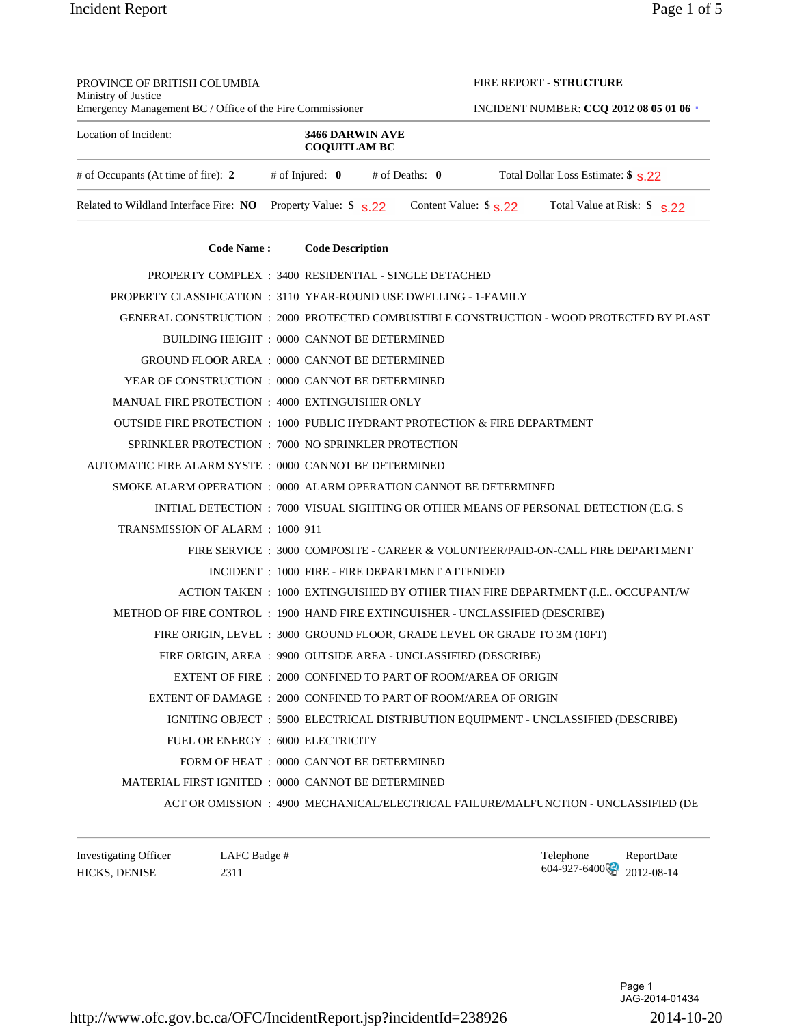| PROVINCE OF BRITISH COLUMBIA<br>Ministry of Justice                            |                                                                           |  | FIRE REPORT - STRUCTURE                        |                                                                                          |  |
|--------------------------------------------------------------------------------|---------------------------------------------------------------------------|--|------------------------------------------------|------------------------------------------------------------------------------------------|--|
| Emergency Management BC / Office of the Fire Commissioner                      |                                                                           |  | <b>INCIDENT NUMBER: CCQ 2012 08 05 01 06 ·</b> |                                                                                          |  |
| Location of Incident:                                                          | 3466 DARWIN AVE<br><b>COQUITLAM BC</b>                                    |  |                                                |                                                                                          |  |
| # of Occupants (At time of fire): 2                                            | # of Injured: $\mathbf{0}$ # of Deaths: $\mathbf{0}$                      |  |                                                | Total Dollar Loss Estimate: \$ \$.22                                                     |  |
| Related to Wildland Interface Fire: NO                                         | Property Value: $$S,22$                                                   |  | Content Value: $\frac{6}{5}$ \$ 22             | Total Value at Risk: $\frac{1}{2}$ s.22                                                  |  |
| <b>Code Name:</b>                                                              | <b>Code Description</b>                                                   |  |                                                |                                                                                          |  |
| PROPERTY COMPLEX : 3400 RESIDENTIAL - SINGLE DETACHED                          |                                                                           |  |                                                |                                                                                          |  |
| PROPERTY CLASSIFICATION : 3110 YEAR-ROUND USE DWELLING - 1-FAMILY              |                                                                           |  |                                                |                                                                                          |  |
|                                                                                |                                                                           |  |                                                | GENERAL CONSTRUCTION : 2000 PROTECTED COMBUSTIBLE CONSTRUCTION - WOOD PROTECTED BY PLAST |  |
|                                                                                | BUILDING HEIGHT : 0000 CANNOT BE DETERMINED                               |  |                                                |                                                                                          |  |
| GROUND FLOOR AREA : 0000 CANNOT BE DETERMINED                                  |                                                                           |  |                                                |                                                                                          |  |
| YEAR OF CONSTRUCTION : 0000 CANNOT BE DETERMINED                               |                                                                           |  |                                                |                                                                                          |  |
| MANUAL FIRE PROTECTION : 4000 EXTINGUISHER ONLY                                |                                                                           |  |                                                |                                                                                          |  |
| OUTSIDE FIRE PROTECTION : 1000 PUBLIC HYDRANT PROTECTION & FIRE DEPARTMENT     |                                                                           |  |                                                |                                                                                          |  |
| SPRINKLER PROTECTION : 7000 NO SPRINKLER PROTECTION                            |                                                                           |  |                                                |                                                                                          |  |
| AUTOMATIC FIRE ALARM SYSTE: 0000 CANNOT BE DETERMINED                          |                                                                           |  |                                                |                                                                                          |  |
| SMOKE ALARM OPERATION : 0000 ALARM OPERATION CANNOT BE DETERMINED              |                                                                           |  |                                                |                                                                                          |  |
|                                                                                |                                                                           |  |                                                | INITIAL DETECTION : 7000 VISUAL SIGHTING OR OTHER MEANS OF PERSONAL DETECTION (E.G. S    |  |
| TRANSMISSION OF ALARM : 1000 911                                               |                                                                           |  |                                                |                                                                                          |  |
|                                                                                |                                                                           |  |                                                | FIRE SERVICE : 3000 COMPOSITE - CAREER & VOLUNTEER/PAID-ON-CALL FIRE DEPARTMENT          |  |
|                                                                                | INCIDENT: 1000 FIRE - FIRE DEPARTMENT ATTENDED                            |  |                                                |                                                                                          |  |
|                                                                                |                                                                           |  |                                                | ACTION TAKEN: 1000 EXTINGUISHED BY OTHER THAN FIRE DEPARTMENT (I.E., OCCUPANT/W          |  |
| METHOD OF FIRE CONTROL : 1900 HAND FIRE EXTINGUISHER - UNCLASSIFIED (DESCRIBE) |                                                                           |  |                                                |                                                                                          |  |
|                                                                                | FIRE ORIGIN, LEVEL : 3000 GROUND FLOOR, GRADE LEVEL OR GRADE TO 3M (10FT) |  |                                                |                                                                                          |  |
|                                                                                | FIRE ORIGIN, AREA : 9900 OUTSIDE AREA - UNCLASSIFIED (DESCRIBE)           |  |                                                |                                                                                          |  |
|                                                                                | EXTENT OF FIRE : 2000 CONFINED TO PART OF ROOM/AREA OF ORIGIN             |  |                                                |                                                                                          |  |
| EXTENT OF DAMAGE : 2000 CONFINED TO PART OF ROOM/AREA OF ORIGIN                |                                                                           |  |                                                |                                                                                          |  |
|                                                                                |                                                                           |  |                                                | IGNITING OBJECT : 5900 ELECTRICAL DISTRIBUTION EQUIPMENT - UNCLASSIFIED (DESCRIBE)       |  |
|                                                                                | FUEL OR ENERGY: 6000 ELECTRICITY                                          |  |                                                |                                                                                          |  |
|                                                                                | FORM OF HEAT : 0000 CANNOT BE DETERMINED                                  |  |                                                |                                                                                          |  |
| MATERIAL FIRST IGNITED : 0000 CANNOT BE DETERMINED                             |                                                                           |  |                                                |                                                                                          |  |

ACT OR OMISSION : 4900 MECHANICAL/ELECTRICAL FAILURE/MALFUNCTION - UNCLASSIFIED (DE

Investigating Officer LAFC Badge #  $\blacksquare$  LAFC Badge #  $\blacksquare$  Telephone ReportDate HICKS, DENISE 2311 2311 2311 2312 004-927-6400 2012-08-14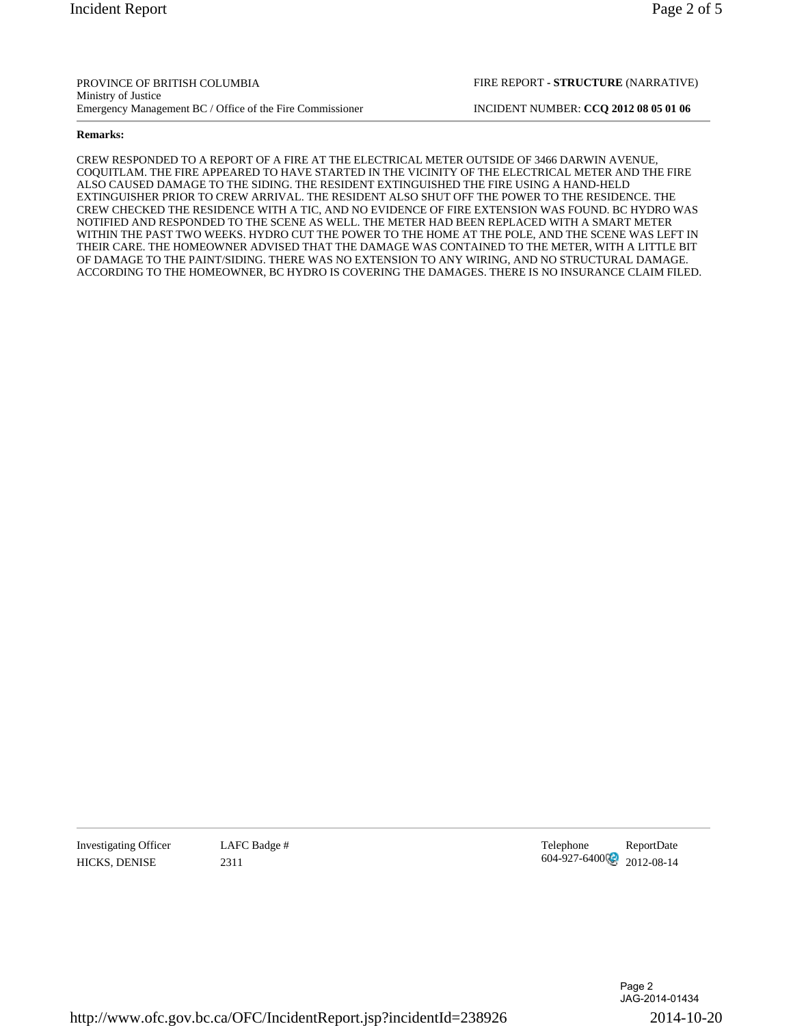FIRE REPORT **- STRUCTURE** (NARRATIVE)

## **Remarks:**

CREW RESPONDED TO A REPORT OF A FIRE AT THE ELECTRICAL METER OUTSIDE OF 3466 DARWIN AVENUE, COQUITLAM. THE FIRE APPEARED TO HAVE STARTED IN THE VICINITY OF THE ELECTRICAL METER AND THE FIRE ALSO CAUSED DAMAGE TO THE SIDING. THE RESIDENT EXTINGUISHED THE FIRE USING A HAND-HELD EXTINGUISHER PRIOR TO CREW ARRIVAL. THE RESIDENT ALSO SHUT OFF THE POWER TO THE RESIDENCE. THE CREW CHECKED THE RESIDENCE WITH A TIC, AND NO EVIDENCE OF FIRE EXTENSION WAS FOUND. BC HYDRO WAS NOTIFIED AND RESPONDED TO THE SCENE AS WELL. THE METER HAD BEEN REPLACED WITH A SMART METER WITHIN THE PAST TWO WEEKS. HYDRO CUT THE POWER TO THE HOME AT THE POLE, AND THE SCENE WAS LEFT IN THEIR CARE. THE HOMEOWNER ADVISED THAT THE DAMAGE WAS CONTAINED TO THE METER, WITH A LITTLE BIT OF DAMAGE TO THE PAINT/SIDING. THERE WAS NO EXTENSION TO ANY WIRING, AND NO STRUCTURAL DAMAGE. ACCORDING TO THE HOMEOWNER, BC HYDRO IS COVERING THE DAMAGES. THERE IS NO INSURANCE CLAIM FILED.

Investigating Officer LAFC Badge #  $\frac{1}{2311}$  Telephone ReportDate ReportDate ReportDate ReportDate ReportDate HICKS, DENISE 2311 2311 2311 604-927-6400 2012-08-14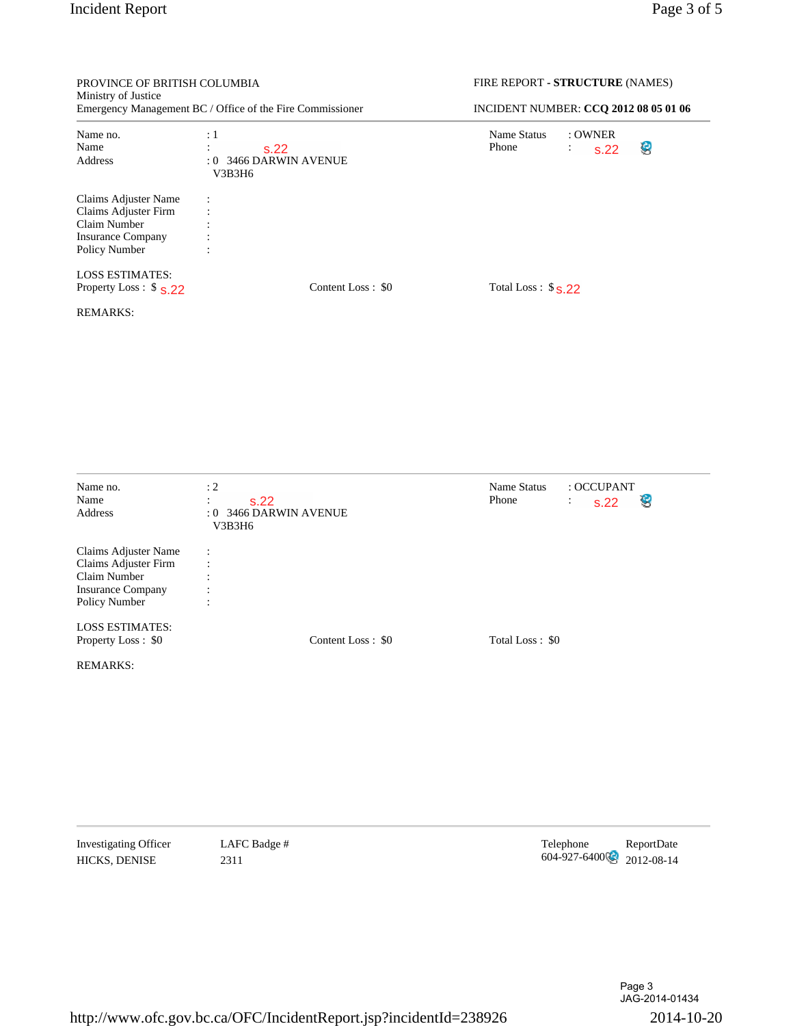| PROVINCE OF BRITISH COLUMBIA                                                                              |                                                                         | FIRE REPORT - STRUCTURE (NAMES)                                      |  |  |  |
|-----------------------------------------------------------------------------------------------------------|-------------------------------------------------------------------------|----------------------------------------------------------------------|--|--|--|
| Ministry of Justice<br>Emergency Management BC / Office of the Fire Commissioner                          |                                                                         | INCIDENT NUMBER: CCQ 2012 08 05 01 06                                |  |  |  |
| Name no.<br>Name<br>Address                                                                               | $\div 1$<br>$\ddot{\Sigma}$<br>s.22<br>: 0 3466 DARWIN AVENUE<br>V3B3H6 | Name Status<br>: OWNER<br>Phone<br>e<br>$\ddot{\phantom{a}}$<br>s.22 |  |  |  |
| Claims Adjuster Name<br>Claims Adjuster Firm<br>Claim Number<br><b>Insurance Company</b><br>Policy Number | $\vdots$<br>$\ddot{\cdot}$                                              |                                                                      |  |  |  |
| <b>LOSS ESTIMATES:</b><br>Property Loss : $$S.22$                                                         | Content Loss: \$0                                                       | Total Loss: $$s.22$                                                  |  |  |  |
| <b>REMARKS:</b>                                                                                           |                                                                         |                                                                      |  |  |  |
| Name no.<br>Name<br>Address                                                                               | : 2<br>$\ddot{\cdot}$<br>s.22<br>: 0 3466 DARWIN AVENUE<br>V3B3H6       | Name Status<br>: OCCUPANT<br>Phone<br>$\ddot{\cdot}$<br>s.22<br>B    |  |  |  |
| Claims Adjuster Name<br>Claims Adjuster Firm<br>Claim Number<br><b>Insurance Company</b><br>Policy Number | $\ddot{\cdot}$<br>$\ddot{\cdot}$<br>$\ddot{\cdot}$<br>$\ddot{\cdot}$    |                                                                      |  |  |  |
| <b>LOSS ESTIMATES:</b><br>Property Loss: \$0                                                              | Content Loss: \$0                                                       | Total Loss: \$0                                                      |  |  |  |
| <b>REMARKS:</b>                                                                                           |                                                                         |                                                                      |  |  |  |
|                                                                                                           |                                                                         |                                                                      |  |  |  |

Investigating Officer LAFC Badge # Telephone ReportDate HICKS, DENISE  $2311$   $2311$   $604-927-6400$   $2012-08-14$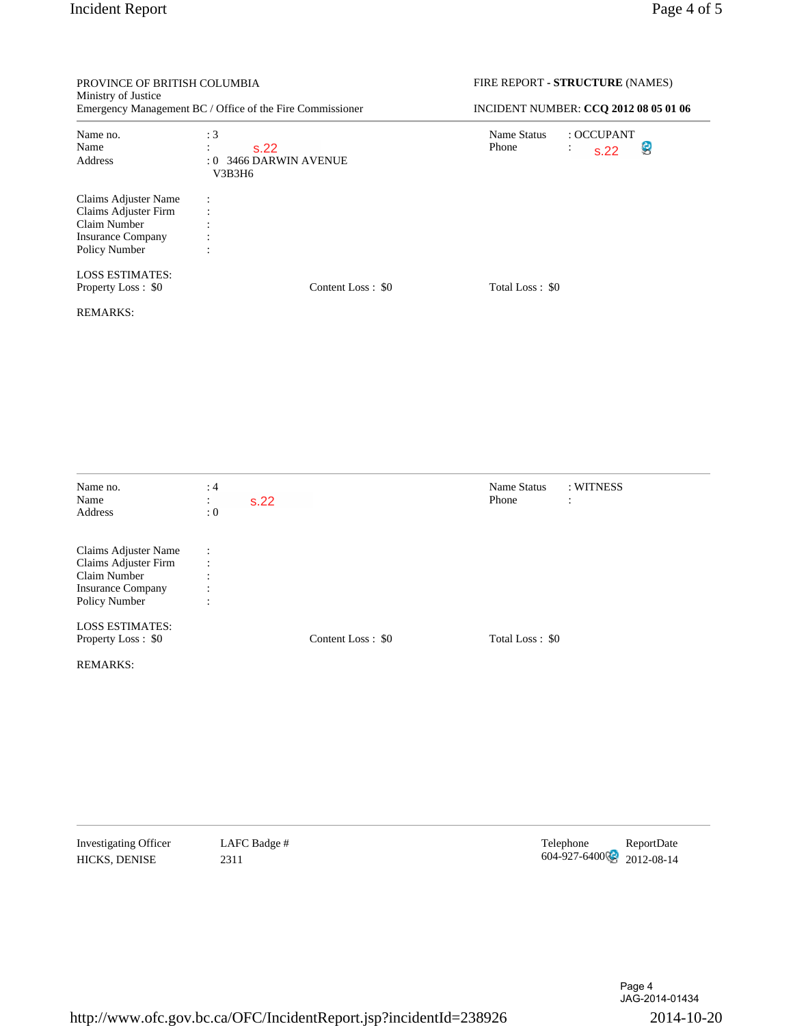| PROVINCE OF BRITISH COLUMBIA<br>Ministry of Justice<br>Emergency Management BC / Office of the Fire Commissioner |                                                                      |                   | FIRE REPORT - STRUCTURE (NAMES)<br>INCIDENT NUMBER: CCQ 2012 08 05 01 06 |                                   |  |
|------------------------------------------------------------------------------------------------------------------|----------------------------------------------------------------------|-------------------|--------------------------------------------------------------------------|-----------------------------------|--|
|                                                                                                                  |                                                                      |                   |                                                                          |                                   |  |
| Claims Adjuster Name<br>Claims Adjuster Firm<br>Claim Number<br><b>Insurance Company</b><br>Policy Number        | $\ddot{\cdot}$<br>$\ddot{\cdot}$                                     |                   |                                                                          |                                   |  |
| <b>LOSS ESTIMATES:</b><br>Property Loss: \$0                                                                     |                                                                      | Content Loss: \$0 | Total Loss: \$0                                                          |                                   |  |
| <b>REMARKS:</b>                                                                                                  |                                                                      |                   |                                                                          |                                   |  |
| Name no.<br>Name<br>Address                                                                                      | :4<br>s.22<br>$\ddot{\cdot}$<br>: 0                                  |                   | Name Status<br>Phone                                                     | : WITNESS<br>$\ddot{\phantom{a}}$ |  |
| Claims Adjuster Name<br>Claims Adjuster Firm<br>Claim Number<br><b>Insurance Company</b><br>Policy Number        | $\ddot{\cdot}$<br>$\ddot{\cdot}$<br>$\ddot{\cdot}$<br>$\ddot{\cdot}$ |                   |                                                                          |                                   |  |
| <b>LOSS ESTIMATES:</b><br>Property Loss: \$0                                                                     |                                                                      | Content Loss: \$0 | Total Loss: \$0                                                          |                                   |  |
| <b>REMARKS:</b>                                                                                                  |                                                                      |                   |                                                                          |                                   |  |
|                                                                                                                  |                                                                      |                   |                                                                          |                                   |  |
|                                                                                                                  |                                                                      |                   |                                                                          |                                   |  |

Investigating Officer LAFC Badge #  $\blacksquare$  LAFC Badge #  $\blacksquare$  Telephone ReportDate HICKS, DENISE 2311 2311 2311 2312 004-927-6400 2012-08-14